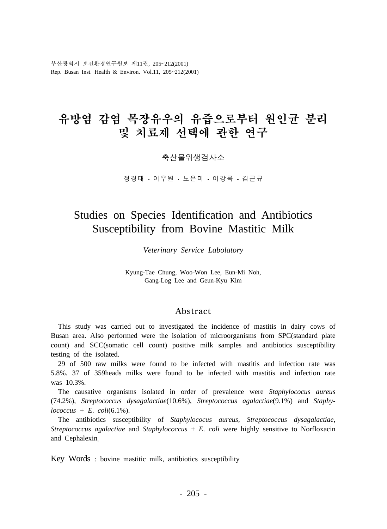부산광역시 보건환경연구원보 제11권, 205~212(2001) Rep. Busan Inst. Health & Environ. Vol.11, 205~212(2001)

# 유방염 감염 목장유우의 유즙으로부터 원인균 분리 및 치료제 서택에 과한 여구

축산물위생검사소

정경태 • 이우원 • 노은미 • 이강록 • 김근규

# Studies on Species Identification and Antibiotics Susceptibility from Bovine Mastitic Milk

*Veterinary Service Labolatory*

Kyung-Tae Chung, Woo-Won Lee, Eun-Mi Noh, Gang-Log Lee and Geun-Kyu Kim

### Abstract

 This study was carried out to investigated the incidence of mastitis in dairy cows of Busan area. Also performed were the isolation of microorganisms from SPC(standard plate count) and SCC(somatic cell count) positive milk samples and antibiotics susceptibility testing of the isolated.

 29 of 500 raw milks were found to be infected with mastitis and infection rate was 5.8%. 37 of 359heads milks were found to be infected with mastitis and infection rate was 10.3%.

 The causative organisms isolated in order of prevalence were *Staphylococus aureus*  (74.2%), *Streptococcus dysagalactiae*(10.6%), *Streptococcus agalactiae*(9.1%) and *Staphy* $lococcus + E.$  *coli*(6.1%).

 The antibiotics susceptibility of *Staphylococus aureus*, *Streptococcus dysagalactiae*, *Streptococcus agalactiae* and *Staphylococcus* + *E*. *coli* were highly sensitive to Norfloxacin and Cephalexin

Key Words : bovine mastitic milk, antibiotics susceptibility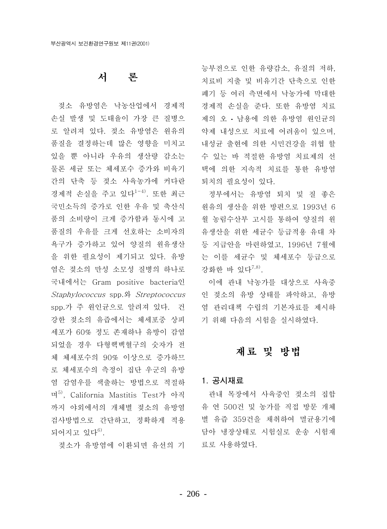# 서 론

젖소 유방염은 낙농산업에서 경제적 손실 발생 및 도태율이 가장 큰 질병으 로 알려져 있다. 젖소 유방염은 워유의 품질을 결정하는데 많은 영향을 미치고 있을 뿐 아니라 우유의 생산량 감소는 물론 세균 또는 체세포수 증가와 비육기 간의 단축 등 젖소 사육농가에 커다란 경제적 손실을 주고 있다<sup>1-4)</sup>. 또한 최근 국민소득의 증가로 인한 우유 및 축산식 품의 소비량이 크게 증가함과 동시에 고 품질의 우유를 크게 선호하는 소비자의 욕구가 증가하고 있어 양질의 원유생산 을 위한 필요성이 제기되고 있다. 유방 염은 젖소의 만성 소모성 질병의 하나로 국내에서는 Gram positive bacteria인 Staphylococcus spp.와 Streptococcus spp.가 주 원인균으로 알려져 있다. 건 강한 젖소의 유즙에서는 체세포중 상피 세포가 60% 정도 존재하나 유방이 감염 되었을 경우 다형핵백혈구의 숫자가 전 체 체세포수의 90% 이상으로 증가하므 로 체세포수의 측정이 집단 우군의 유방 염 감염우를 색출하는 방법으로 적절하 며<sup>5)</sup>. California Mastitis Test가 아직 까지 야외에서의 개체별 젖소의 유방염 검사방법으로 간단하고, 정확하게 적용 되어지고 있다<sup>6)</sup>.

젖소가 유방염에 이환되면 유선의 기

능부전으로 인한 유량감소. 유질의 저하. 치료비 지출 및 비유기간 단축으로 인한 폐기 등 여러 측면에서 낙농가에 막대한 경제적 손실을 준다. 또한 유방염 치료 제의 오 • 남용에 의한 유방염 워인규의 약제 내성으로 치료에 어려움이 있으며, 내성균 출현에 의한 시민건강을 위협 할 수 있는 바 적절한 유방염 치료제의 선 택에 의한 지속적 치료를 통한 유방염 퇴치의 필요성이 있다.

정부에서는 유방염 퇴치 및 질 좋은 워유의 생산을 위한 방편으로 1993년 6 월 농림수산부 고시를 통하여 양질의 워 유생산을 위한 세균수 등급적용 유대 차 등 지급안을 마련하였고, 1996년 7월에 는 이를 세균수 및 체세포수 등급으로 강화한 바 있다<sup>7,8)</sup>.

이에 관내 낙농가를 대상으로 사육중 인 젖소의 유방 상태를 파악하고, 유방 염 관리대책 수립의 기본자료를 제시하 기 위해 다음의 시험을 실시하였다.

## 재료 및 방법

### 1. 공시재료

관내 목장에서 사육중인 젖소의 집합 유 연 500건 및 농가를 직접 방문 개체 별 유즙 359건을 채취하여 멸균용기에 담아 냉장상태로 시험실로 운송 시험재 료로 사용하였다.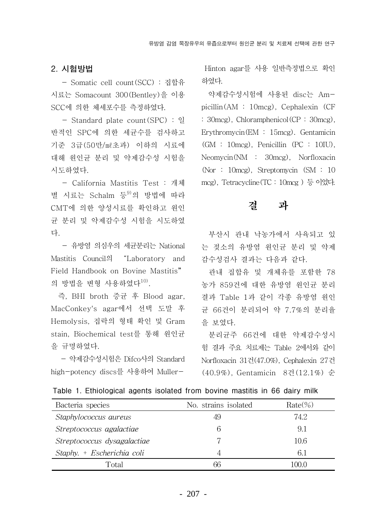### 2. 시험방법

- Somatic cell count(SCC) : 집합유 시료는 Somacount 300(Bentley)을 이용 SCC에 의한 체세포수를 측정하였다.

- Standard plate count(SPC) : 일 반적인 SPC에 의한 세균수를 검사하고 기준 3급(50만/ml초과) 이하의 시료에 대해 원인균 분리 및 약제감수성 시험을 시도하였다.

- California Mastitis Test : 개체 별 시료는 Schalm 등<sup>9)</sup>의 방법에 따라 CMT에 의한 양성시료를 확인하고 원인 균 분리 및 약제감수성 시험을 시도하였 다.

- 유방염 의심우의 세규분리는 National Mastitis Council의 "Laboratory and Field Handbook on Bovine Mastitis" 의 방법을 변형 사용하였다<sup>10)</sup>.

즉, BHI broth 증균 후 Blood agar, MacConkey's agar에서 선택 도말 후 Hemolysis, 집락의 형태 확인 및 Gram stain, Biochemical test를 통해 원인균 을 규명하였다.

- 약제감수성시험은 Difco사의 Standard high-potency discs를 사용하여 Muller-

Hinton agar를 사용 일반측정법으로 확인 하였다.

약제감수성시험에 사용된 disc는 Ampicillin(AM : 10mcg), Cephalexin (CF : 30 mcg), Chloramphenicol (CP: 30 mcg), Erythromycin( $EM : 15 \text{mcg}$ ). Gentamicin  $(GM : 10mcg)$ , Penicillin (PC : 10IU), Neomycin(NM : 30mcg), Norfloxacin (Nor: 10 mcg), Streptomycin (SM : 10) mcg), Tetracycline (TC : 10mcg) 등 이었다.

#### 곀 과

부산시 관내 낙농가에서 사육되고 있 는 젖소의 유방염 원인균 분리 및 약제 감수성검사 결과는 다음과 같다.

관내 집합유 및 개체유를 포함한 78 농가 859건에 대한 유방염 원인균 분리 결과 Table 1과 같이 각종 유방염 원인 균 66건이 분리되어 약 7.7%의 분리율 을 보였다.

분리균주 66건에 대한 약제감수성시 험 결과 주요 치료제는 Table 2에서와 같이 Norfloxacin 31건(47.0%), Cephalexin 27건 (40.9%), Gentamicin 8건(12.1%) 순

| Bacteria species            | No. strains isolated | $Rate(\% )$ |
|-----------------------------|----------------------|-------------|
| Staphylococcus aureus       | 49                   | 74.2        |
| Streptococcus agalactiae    | 6                    | 9.1         |
| Streptococcus dysagalactiae |                      | 10.6        |
| Staphy. + Escherichia coli  | 4                    | 6.1         |
| Total                       | 66                   | 100.0       |

Table 1. Ethiological agents isolated from bovine mastitis in 66 dairy milk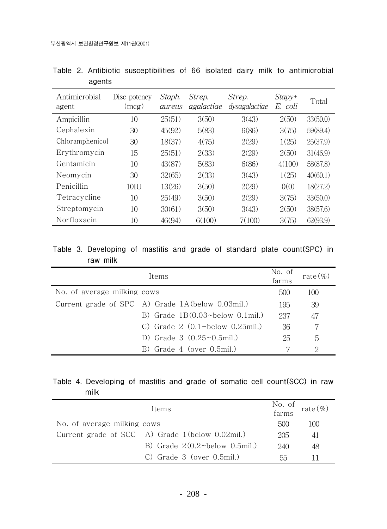| Antimicrobial<br>agent | Disc potency<br>(mcg) | Staph.<br>aureus | Strep.<br>agalactiae | Strep.<br>dysagalactiae | $Stapy+$<br>E. coli | Total    |
|------------------------|-----------------------|------------------|----------------------|-------------------------|---------------------|----------|
| Ampicillin             | 10                    | 25(51)           | 3(50)                | 3(43)                   | 2(50)               | 33(50.0) |
| Cephalexin             | 30                    | 45(92)           | 5(83)                | 6(86)                   | 3(75)               | 59(89.4) |
| Chloramphenicol        | 30                    | 18(37)           | 4(75)                | 2(29)                   | 1(25)               | 25(37.9) |
| Erythromycin           | 15                    | 25(51)           | 2(33)                | 2(29)                   | 2(50)               | 31(46.9) |
| Gentamicin             | 10                    | 43(87)           | 5(83)                | 6(86)                   | 4(100)              | 58(87.8) |
| Neomycin               | 30                    | 32(65)           | 2(33)                | 3(43)                   | 1(25)               | 40(60.1) |
| Penicillin             | $10$ IU               | 13(26)           | 3(50)                | 2(29)                   | 0(0)                | 18(27.2) |
| Tetracycline           | 10                    | 25(49)           | 3(50)                | 2(29)                   | 3(75)               | 33(50.0) |
| Streptomycin           | 10                    | 30(61)           | 3(50)                | 3(43)                   | 2(50)               | 38(57.6) |
| Norfloxacin            | 10                    | 46(94)           | 6(100)               | 7(100)                  | 3(75)               | 62(93.9) |

Table 2. Antibiotic susceptibilities of 66 isolated dairy milk to antimicrobial agents

### Table 3. Developing of mastitis and grade of standard plate count(SPC) in raw milk

|                             | Items                                                     | No. of<br>farms | rate $(\%)$ |
|-----------------------------|-----------------------------------------------------------|-----------------|-------------|
| No. of average milking cows |                                                           | 500             | 100         |
|                             | Current grade of SPC A) Grade 1A (below 0.03mil.)         | 195             | 39          |
|                             | B) Grade $1B(0.03 \text{~below} 0.1 \text{mil.})$         | 237             | 47          |
|                             | C) Grade $2(0.1 \text{$ }-\text{below } 0.25 \text{mil.}) | 36              |             |
|                             | D) Grade $3(0.25 \sim 0.5 \text{mil.})$                   | 25              | 5           |
|                             | $E)$ Grade 4 (over 0.5mil.)                               |                 | 2           |

## Table 4. Developing of mastitis and grade of somatic cell count(SCC) in raw milk

| Items                       |                                                    | No. of<br>farms | rate $(\%)$ |
|-----------------------------|----------------------------------------------------|-----------------|-------------|
| No. of average milking cows |                                                    | 500             | 100         |
|                             | Current grade of SCC A) Grade 1 (below 0.02mil.)   | 205             | 41          |
|                             | B) Grade $2(0.2 \text{$ >-below } 0.5 \text{mil.}) | 240             | 48          |
|                             | $C)$ Grade 3 (over 0.5mil.)                        | hh              |             |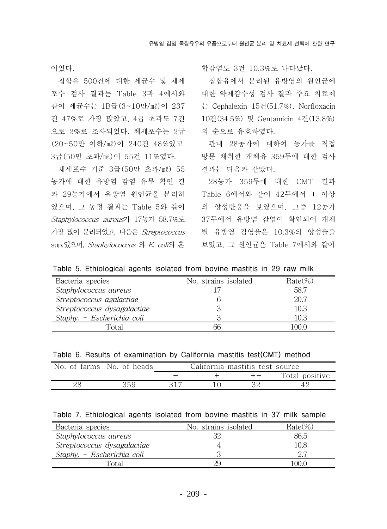이었다.

집합유 500건에 대한 세균수 및 체세 포수 검사 결과는 Table 3과 4에서와 같이 세균수는 1B급(3~10만/ml)이 237 건 47%로 가장 많았고. 4급 초과도 7건 으로 2%로 조사되었다. 체세포수는 2급 (20~50만 이하/ml)이 240건 48%였고. 3급(50만 초과/ml)이 55건 11%였다.

체세포수 기준 3급(50만 초과/ml) 55 농가에 대한 유방염 감염 유무 확인 결 과 29농가에서 유방염 워인규을 분리하 였으며, 그 동정 결과는 Table 5와 같이 Staphylococcus aureus가 17농가 58.7%로 가장 많이 분리되었고, 다음은 Streptococcus spp.였으며, *Staphylococcus* 와 *E. coli*의 혼 합감염도 3건 10.3%로 나타났다.

집합유에서 분리된 유방염의 원인균에 대한 약제감수성 검사 결과 주요 치료제 는 Cephalexin 15건(51.7%), Norfloxacin 10건(34.5%) 및 Gentamicin 4건(13.8%) 의 순으로 유효하였다.

관내 28농가에 대하여 농가를 직접 방문 채취한 개체유 359두에 대한 검사 결과는 다음과 같았다.

28농가 359두에 대한 CMT 결과 Table 6에서와 같이 42두에서 + 이상 의 양성반응을 보였으며, 그중 12농가 37두에서 유방염 감염이 확인되어 개체 별 유방염 감염율은 10.3%의 양성율을 보였고, 그 원인균은 Table 7에서와 같이

Table 5. Ethiological agents isolated from bovine mastitis in 29 raw milk

| Bacteria species            | No. strains isolated | $Rate\%)$ |
|-----------------------------|----------------------|-----------|
| Staphylococcus aureus       |                      | 58.7      |
| Streptococcus agalactiae    |                      | 20.7      |
| Streptococcus dysagalactiae |                      | 10.3      |
| Staphy. + Escherichia coli  |                      | 10.3      |
| Total                       | 66                   | .00.0     |

Table 6. Results of examination by California mastitis test (CMT) method

| No. of farms No. of heads |  | California mastitis test source |                |
|---------------------------|--|---------------------------------|----------------|
|                           |  | $+ +$                           | Total positive |
| 359                       |  |                                 |                |

| Table 7. Ethiological agents isolated from bovine mastitis in 37 milk sample |  |
|------------------------------------------------------------------------------|--|
|------------------------------------------------------------------------------|--|

| Bacteria species            | No. strains isolated | $Rate(\%)$ |
|-----------------------------|----------------------|------------|
| Staphylococcus aureus       | 32                   | 86.5       |
| Streptococcus dysagalactiae |                      | 10.8       |
| Staphy. + Escherichia coli  |                      | クク         |
| Fotal                       | 29                   | 00 C       |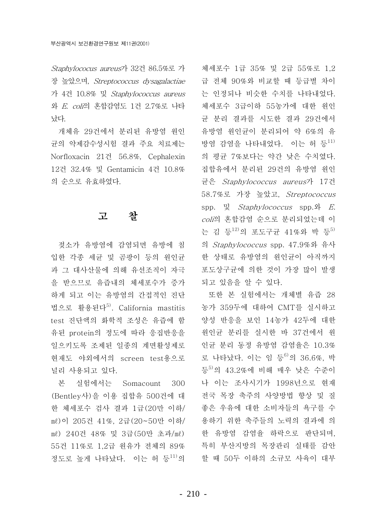Staphylococus aureus가 32건 86.5%로 가 장 높았으며, Streptococcus dysagalactiae \_ 급 전체 90%와 비교할 때 등급별 차이 가 4건 10.8% 및 Staphylococcus aureus 와 E. coli의 혼합감염도 1건 2.7%로 나타 났다.

개체유 29건에서 분리된 유방염 원인 균의 약제감수성시험 결과 주요 치료제는 Norfloxacin 21건 56.8%, Cephalexin 12건 32.4% 및 Gentamicin 4건 10.8% 의 순으로 유효하였다.

#### 고 참

젖소가 유방염에 감염되면 유방에 침 입한 각종 세균 및 곰팡이 등의 원인균 과 그 대사산물에 의해 유선조직이 자극 을 받으므로 유즙내의 체세포수가 증가 하게 되고 이는 유방염의 간접적인 진단 법으로 활용된다<sup>5)</sup>. California mastitis test 진단액의 화학적 조성은 유즙에 함 유된 protein의 정도에 따라 응집반응을 일으키도록 조제된 일종의 계면활성제로 혂재도 야외에서의 screen test용으로 널리 사용되고 있다.

본 실험에서는 Somacount 300 (Bentley사)을 이용 집합유 500건에 대 한 체세포수 검사 결과 1급(20만 이하/ ml)이 205건 41%, 2급(20~50만 이하/ ml) 240건 48% 및 3급(50만 초과/ml) 55건 11%로 1,2급 원유가 전체의 89% 정도로 높게 나타났다. 이는 허 등<sup>11)</sup>의

체세포수 1급 35% 및 2급 55%로 1.2 는 인정되나 비슷한 수치를 나타내었다. 체세포수 3급이하 55농가에 대한 원인 규 분리 결과를 시도한 결과 29건에서 유방염 워이규이 부리되어 약 6%의 유 방염 감염을 나타내었다. 이는 허 등<sup>11)</sup> 의 평균 7%보다는 약간 낮은 수치였다. 집합유에서 분리된 29건의 유방염 원인 균은 Staphylococcus aureus가 17건 58.7%로 가장 높았고, Streptococcus spp.  $\gtrsim$  Staphylococcus spp.  $\mathfrak{L}$  E. coli의 혼합감염 순으로 분리되었는데 이 는 김 등<sup>12)</sup>의 포도구균 41%와 박 등<sup>5)</sup> 의 Staphylococcus spp. 47.9%와 유사 한 상태로 유방염의 원인균이 아직까지 포도상구균에 의한 것이 가장 많이 발생 되고 있음을 알 수 있다.

또한 본 실험에서는 개체별 유즙 28 농가 359두에 대하여 CMT를 실시하고 양성 반응을 보인 14농가 42두에 대한 원인균 분리를 실시한 바 37건에서 원 인균 분리 동정 유방염 감염율은 10.3% 로 나타났다. 이는 임 등<sup>6)</sup>의 36.6%. 박 등<sup>5)</sup>의 43.2%에 비해 매우 낮은 수준이 나 이는 조사시기가 1998년으로 현재 전국 목장 축주의 사양방법 향상 및 질 좋은 우유에 대한 소비자들의 욕구를 수 용하기 위한 축주들의 노력의 결과에 의 한 유방염 감염율 하락으로 판단되며, 특히 부산지방의 목장관리 실태를 감안 할 때 50두 이하의 소규모 사육이 대부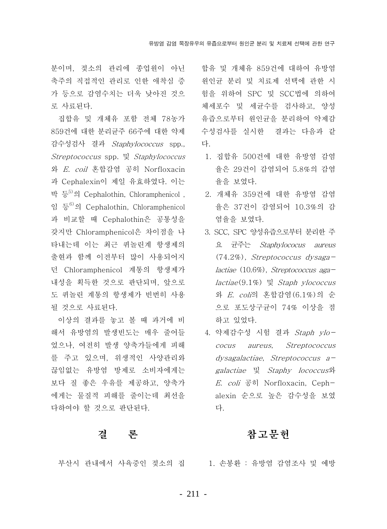분이며, 젖소의 관리에 종업원이 아닌 \_ 합유 및 개체유 859건에 대하여 유방염 축주의 직접적인 관리로 인한 애착심 증 • 원인균 분리 및 치료제 선택에 관한 시 가 등으로 감염수치는 더욱 낮아진 것으 로 사료된다.

집합유 및 개체유 포함 전체 78농가 859건에 대한 분리균주 66주에 대한 약제 감수성검사 결과 Staphylococcus spp., *Streptococcus* spp. 및 *Staphylococcus* 와 E. coil 혼합감염 공히 Norfloxacin 과 Cephalexin이 제일 유효하였다. 이는 박 등<sup>5)</sup>의 Cephalothin. Chloramphenicol . 읶 등<sup>6)</sup>의 Cephalothin. Chloramphenicol 과 비교할 때 Cephalothin은 공통성을 갖지만 Chloramphenicol은 차이점을 나 타내는데 이는 최근 퀴놀린계 항생제의 출현과 함께 이전부터 많이 사용되어지 던 Chloramphenicol 계통의 항생제가 내성을 획득한 것으로 판단되며, 앞으로 도 퀴놀린 계통의 항생제가 빈번히 사용 될 것으로 사료된다.

이상의 결과를 놓고 볼 때 과거에 비 해서 유방염의 발생빈도는 매우 줄어들 었으나, 여전히 발생 양축가들에게 피해 를 주고 있으며, 위생적인 사양관리와 끊임없는 유방염 방제로 소비자에게는 보다 질 좋은 우유를 제공하고, 양축가 에게는 물질적 피해를 줄이는데 최선을 다하여야 할 것으로 판단된다.

#### 곀 론

험을 위하여 SPC 및 SCC법에 의하여 체세포수 및 세균수를 검사하고, 양성 유즙으로부터 워인규을 분리하여 약제감 수성검사를 실시한 결과는 다음과 같 다.

- 1. 집합유 500건에 대한 유방염 감염 율은 29건이 감염되어 5.8%의 감염 율을 보였다.
	- 2. 개체유 359건에 대한 유방염 감염 율은 37건이 감염되어 10.3%의 감 염율을 보였다.
	- 3. SCC, SPC 양성유즙으로부터 분리한 주 요 균주는 Staphylococus aureus  $(74.2\%)$ , Streptococcus dysagalactiae (10.6%), Streptococcus aga $lactic(9.1\%)$   $\gtrsim$  *Staph ylococcus* 와 E. coli의 혼합감염 (6.1%)의 순 으로 포도상구균이 74% 이상을 점 하고 있었다.
	- 4. 약제감수성 시험 결과 Staph ylococus aureus, Streptococcus  $dysagalactic$ , Streptococcus agalactiae 및 Staphy lococcus와 E. coli 공히 Norfloxacin, Cephalexin 순으로 높은 감수성을 보였 다.

## 참고문헌

부산시 관내에서 사육중인 젖소의 집 1. 손봉환 : 유방염 감염조사 및 예방